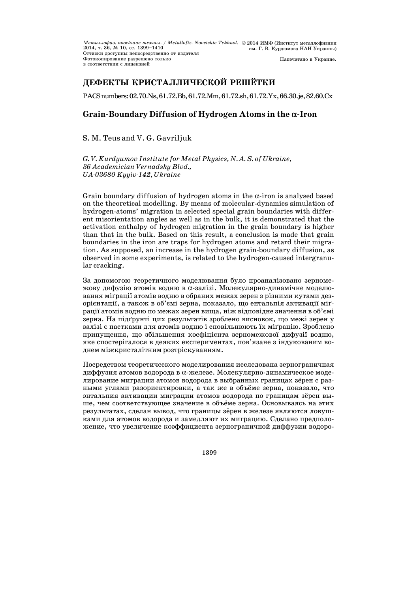*Металлофиз. новейшие технол. / Metallofiz. Noveishie Tekhnol.*  2014, т. 36, № 10, сс. 1399—1410 2014 ИМФ (Институт металлофизики им. Г. В. Курдюмова НАН Украины) Оттиски доступны непосредственно от издателя Фотокопирование разрешено только в соответствии с лицензией Напечатано в Украине.

# **ДЕФЕКТЫ КРИСТАЛЛИЧЕСКОЙ РЕШЁТКИ**

PACSnumbers:02.70.Ns,61.72.Bb,61.72.Mm,61.72.sh,61.72.Yx,66.30.je,82.60.Cx

# **Grain-Boundary Diffusion of Hydrogen Atoms in the -Iron**

S. M. Teus and V. G. Gavriljuk

*G. V. Kurdyumov Institute for Metal Physics, N. A. S. of Ukraine, 36 Academician Vernadsky Blvd., UA-03680 Kyyiv-142, Ukraine* 

Grain boundary diffusion of hydrogen atoms in the  $\alpha$ -iron is analysed based on the theoretical modelling. By means of molecular-dynamics simulation of hydrogen-atoms' migration in selected special grain boundaries with different misorientation angles as well as in the bulk, it is demonstrated that the activation enthalpy of hydrogen migration in the grain boundary is higher than that in the bulk. Based on this result, a conclusion is made that grain boundaries in the iron are traps for hydrogen atoms and retard their migration. As supposed, an increase in the hydrogen grain-boundary diffusion, as observed in some experiments, is related to the hydrogen-caused intergranular cracking.

За допомогою теоретичного моделювання було проаналізовано зерномежову дифузію атомів водню в  $\alpha$ -залізі. Молекулярно-динамічне моделювання міґрації атомів водню в обраних межах зерен з різними кутами дезорієнтації, а також в об'ємі зерна, показало, що ентальпія активації міґрації атомів водню по межах зерен вища, ніж відповідне значення в об'ємі зерна. На підґрунті цих результатів зроблено висновок, що межі зерен у залізі є пастками для атомів водню і сповільнюють їх міґрацію. Зроблено припущення, що збільшення коефіцієнта зерномежової дифузії водню, яке спостерігалося в деяких експериментах, пов'язане з індукованим воднем міжкристалітним розтріскуванням.

Посредством теоретического моделирования исследована зернограничная диффузия атомов водорода в  $\alpha$ -железе. Молекулярно-динамическое моделирование миграции атомов водорода в выбранных границах зёрен с разными углами разориентировки, а так же в объёме зерна, показало, что энтальпия активации миграции атомов водорода по границам зёрен выше, чем соответствующее значение в объёме зерна. Основываясь на этих результатах, сделан вывод, что границы зёрен в железе являются ловушками для атомов водорода и замедляют их миграцию. Сделано предположение, что увеличение коэффициента зернограничной диффузии водоро-

1399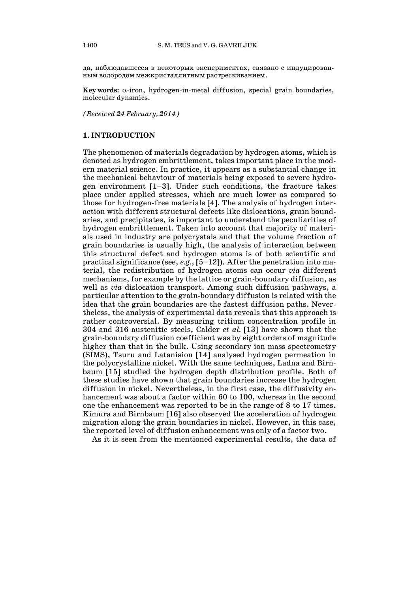да, наблюдавшееся в некоторых экспериментах, связано с индуцированным водородом межкристаллитным растрескиванием.

 $Kev words: \alpha$ -iron, hydrogen-in-metal diffusion, special grain boundaries, molecular dynamics.

*(Received 24 February, 2014)*

#### **1. INTRODUCTION**

The phenomenon of materials degradation by hydrogen atoms, which is denoted as hydrogen embrittlement, takes important place in the modern material science. In practice, it appears as a substantial change in the mechanical behaviour of materials being exposed to severe hydrogen environment  $[1-3]$ . Under such conditions, the fracture takes place under applied stresses, which are much lower as compared to those for hydrogen-free materials [4]. The analysis of hydrogen interaction with different structural defects like dislocations, grain boundaries, and precipitates, is important to understand the peculiarities of hydrogen embrittlement. Taken into account that majority of materials used in industry are polycrystals and that the volume fraction of grain boundaries is usually high, the analysis of interaction between this structural defect and hydrogen atoms is of both scientific and practical significance (see, *e.g.*, [5—12]). After the penetration into material, the redistribution of hydrogen atoms can occur *via* different mechanisms, for example by the lattice or grain-boundary diffusion, as well as *via* dislocation transport. Among such diffusion pathways, a particular attention to the grain-boundary diffusion is related with the idea that the grain boundaries are the fastest diffusion paths. Nevertheless, the analysis of experimental data reveals that this approach is rather controversial. By measuring tritium concentration profile in 304 and 316 austenitic steels, Calder *et al.* [13] have shown that the grain-boundary diffusion coefficient was by eight orders of magnitude higher than that in the bulk. Using secondary ion mass spectrometry (SIMS), Tsuru and Latanision [14] analysed hydrogen permeation in the polycrystalline nickel. With the same techniques, Ladna and Birnbaum [15] studied the hydrogen depth distribution profile. Both of these studies have shown that grain boundaries increase the hydrogen diffusion in nickel. Nevertheless, in the first case, the diffusivity enhancement was about a factor within 60 to 100, whereas in the second one the enhancement was reported to be in the range of 8 to 17 times. Kimura and Birnbaum [16] also observed the acceleration of hydrogen migration along the grain boundaries in nickel. However, in this case, the reported level of diffusion enhancement was only of a factor two.

As it is seen from the mentioned experimental results, the data of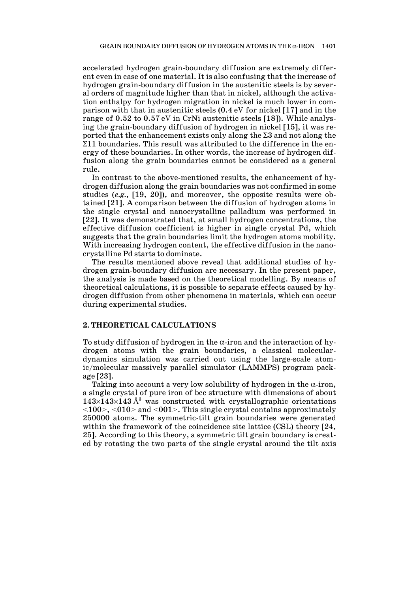accelerated hydrogen grain-boundary diffusion are extremely different even in case of one material. It is also confusing that the increase of hydrogen grain-boundary diffusion in the austenitic steels is by several orders of magnitude higher than that in nickel, although the activation enthalpy for hydrogen migration in nickel is much lower in comparison with that in austenitic steels (0.4 eV for nickel [17] and in the range of 0.52 to 0.57 eV in CrNi austenitic steels [18]). While analysing the grain-boundary diffusion of hydrogen in nickel [15], it was reported that the enhancement exists only along the  $\Sigma 3$  and not along the  $\Sigma$ 11 boundaries. This result was attributed to the difference in the energy of these boundaries. In other words, the increase of hydrogen diffusion along the grain boundaries cannot be considered as a general rule.

 In contrast to the above-mentioned results, the enhancement of hydrogen diffusion along the grain boundaries was not confirmed in some studies (*e.g.*, [19, 20]), and moreover, the opposite results were obtained [21]. A comparison between the diffusion of hydrogen atoms in the single crystal and nanocrystalline palladium was performed in [22]. It was demonstrated that, at small hydrogen concentrations, the effective diffusion coefficient is higher in single crystal Pd, which suggests that the grain boundaries limit the hydrogen atoms mobility. With increasing hydrogen content, the effective diffusion in the nanocrystalline Pd starts to dominate.

 The results mentioned above reveal that additional studies of hydrogen grain-boundary diffusion are necessary. In the present paper, the analysis is made based on the theoretical modelling. By means of theoretical calculations, it is possible to separate effects caused by hydrogen diffusion from other phenomena in materials, which can occur during experimental studies.

#### **2. THEORETICAL CALCULATIONS**

To study diffusion of hydrogen in the  $\alpha$ -iron and the interaction of hydrogen atoms with the grain boundaries, a classical moleculardynamics simulation was carried out using the large-scale atomic/molecular massively parallel simulator (LAMMPS) program package [23].

Taking into account a very low solubility of hydrogen in the  $\alpha$ -iron, a single crystal of pure iron of bcc structure with dimensions of about  $143\times143\times143$  Å<sup>3</sup> was constructed with crystallographic orientations  $\langle 100 \rangle$ ,  $\langle 010 \rangle$  and  $\langle 001 \rangle$ . This single crystal contains approximately 250000 atoms. The symmetric-tilt grain boundaries were generated within the framework of the coincidence site lattice (CSL) theory [24, 25]. According to this theory, a symmetric tilt grain boundary is created by rotating the two parts of the single crystal around the tilt axis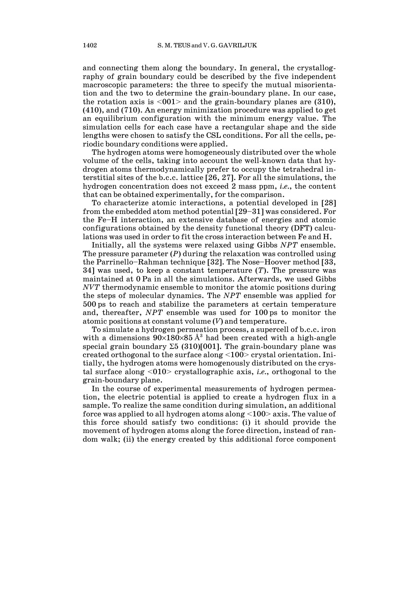and connecting them along the boundary. In general, the crystallography of grain boundary could be described by the five independent macroscopic parameters: the three to specify the mutual misorientation and the two to determine the grain-boundary plane. In our case, the rotation axis is  $\langle 001 \rangle$  and the grain-boundary planes are (310), (410), and (710). An energy minimization procedure was applied to get an equilibrium configuration with the minimum energy value. The simulation cells for each case have a rectangular shape and the side lengths were chosen to satisfy the CSL conditions. For all the cells, periodic boundary conditions were applied.

 The hydrogen atoms were homogeneously distributed over the whole volume of the cells, taking into account the well-known data that hydrogen atoms thermodynamically prefer to occupy the tetrahedral interstitial sites of the b.c.c. lattice [26, 27]. For all the simulations, the hydrogen concentration does not exceed 2 mass ppm, *i.e.*, the content that can be obtained experimentally, for the comparison.

 To characterize atomic interactions, a potential developed in [28] from the embedded atom method potential [29—31] was considered. For the Fe—H interaction, an extensive database of energies and atomic configurations obtained by the density functional theory (DFT) calculations was used in order to fit the cross interaction between Fe and H.

 Initially, all the systems were relaxed using Gibbs *NPT* ensemble. The pressure parameter (*P*) during the relaxation was controlled using the Parrinello—Rahman technique [32]. The Nose—Hoover method [33, 34] was used, to keep a constant temperature (*T*). The pressure was maintained at 0 Pa in all the simulations. Afterwards, we used Gibbs *NVT* thermodynamic ensemble to monitor the atomic positions during the steps of molecular dynamics. The *NPT* ensemble was applied for 500 ps to reach and stabilize the parameters at certain temperature and, thereafter, *NPT* ensemble was used for 100 ps to monitor the atomic positions at constant volume (*V*) and temperature.

 To simulate a hydrogen permeation process, a supercell of b.c.c. iron with a dimensions  $90\times180\times85$  Å<sup>3</sup> had been created with a high-angle special grain boundary  $\Sigma 5$  (310)[001]. The grain-boundary plane was created orthogonal to the surface along <100> crystal orientation. Initially, the hydrogen atoms were homogenously distributed on the crystal surface along <010> crystallographic axis, *i.e.*, orthogonal to the grain-boundary plane.

 In the course of experimental measurements of hydrogen permeation, the electric potential is applied to create a hydrogen flux in a sample. To realize the same condition during simulation, an additional force was applied to all hydrogen atoms along  $\langle 100 \rangle$  axis. The value of this force should satisfy two conditions: (i) it should provide the movement of hydrogen atoms along the force direction, instead of random walk; (ii) the energy created by this additional force component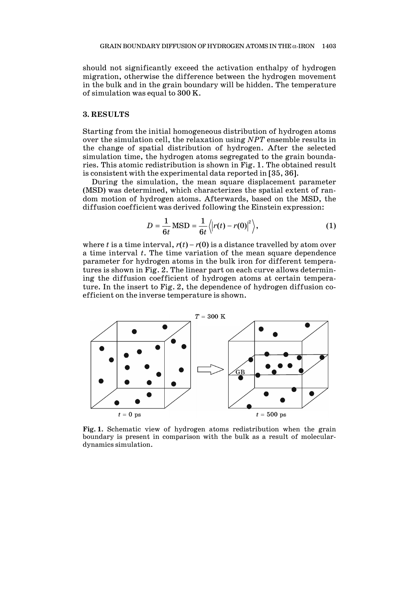should not significantly exceed the activation enthalpy of hydrogen migration, otherwise the difference between the hydrogen movement in the bulk and in the grain boundary will be hidden. The temperature of simulation was equal to 300 K.

# **3. RESULTS**

Starting from the initial homogeneous distribution of hydrogen atoms over the simulation cell, the relaxation using *NPT* ensemble results in the change of spatial distribution of hydrogen. After the selected simulation time, the hydrogen atoms segregated to the grain boundaries. This atomic redistribution is shown in Fig. 1. The obtained result is consistent with the experimental data reported in [35, 36].

 During the simulation, the mean square displacement parameter (MSD) was determined, which characterizes the spatial extent of random motion of hydrogen atoms. Afterwards, based on the MSD, the diffusion coefficient was derived following the Einstein expression:

$$
D = \frac{1}{6t} \text{MSD} = \frac{1}{6t} \langle \left| r(t) - r(0) \right|^2 \rangle, \tag{1}
$$

where *t* is a time interval,  $r(t) - r(0)$  is a distance travelled by atom over a time interval *t*. The time variation of the mean square dependence parameter for hydrogen atoms in the bulk iron for different temperatures is shown in Fig. 2. The linear part on each curve allows determining the diffusion coefficient of hydrogen atoms at certain temperature. In the insert to Fig. 2, the dependence of hydrogen diffusion coefficient on the inverse temperature is shown.



**Fig. 1.** Schematic view of hydrogen atoms redistribution when the grain boundary is present in comparison with the bulk as a result of moleculardynamics simulation.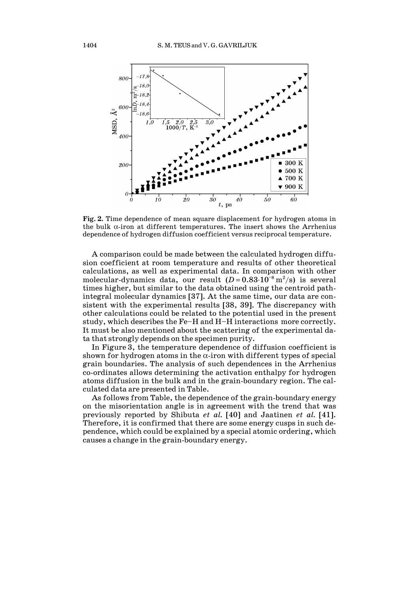

**Fig. 2.** Time dependence of mean square displacement for hydrogen atoms in the bulk  $\alpha$ -iron at different temperatures. The insert shows the Arrhenius dependence of hydrogen diffusion coefficient versus reciprocal temperature.

 A comparison could be made between the calculated hydrogen diffusion coefficient at room temperature and results of other theoretical calculations, as well as experimental data. In comparison with other molecular-dynamics data, our result  $(D=0.83\cdot 10^{-8} \text{ m}^2/\text{s})$  is several times higher, but similar to the data obtained using the centroid pathintegral molecular dynamics [37]. At the same time, our data are consistent with the experimental results [38, 39]. The discrepancy with other calculations could be related to the potential used in the present study, which describes the Fe—H and H—H interactions more correctly. It must be also mentioned about the scattering of the experimental data that strongly depends on the specimen purity.

 In Figure 3, the temperature dependence of diffusion coefficient is shown for hydrogen atoms in the  $\alpha$ -iron with different types of special grain boundaries. The analysis of such dependences in the Arrhenius co-ordinates allows determining the activation enthalpy for hydrogen atoms diffusion in the bulk and in the grain-boundary region. The calculated data are presented in Table.

 As follows from Table, the dependence of the grain-boundary energy on the misorientation angle is in agreement with the trend that was previously reported by Shibuta *et al.* [40] and Jaatinen *et al.* [41]. Therefore, it is confirmed that there are some energy cusps in such dependence, which could be explained by a special atomic ordering, which causes a change in the grain-boundary energy.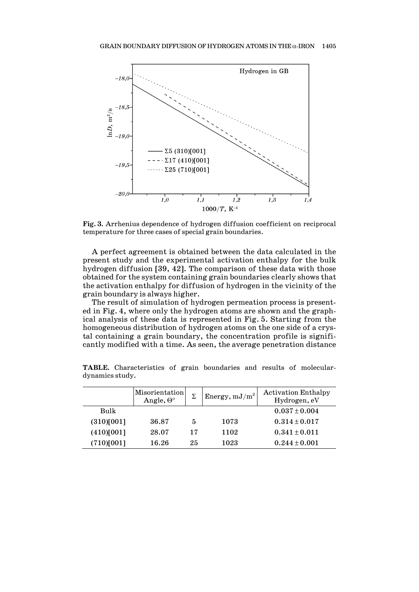

**Fig. 3.** Arrhenius dependence of hydrogen diffusion coefficient on reciprocal temperature for three cases of special grain boundaries.

 A perfect agreement is obtained between the data calculated in the present study and the experimental activation enthalpy for the bulk hydrogen diffusion [39, 42]. The comparison of these data with those obtained for the system containing grain boundaries clearly shows that the activation enthalpy for diffusion of hydrogen in the vicinity of the grain boundary is always higher.

 The result of simulation of hydrogen permeation process is presented in Fig. 4, where only the hydrogen atoms are shown and the graphical analysis of these data is represented in Fig. 5. Starting from the homogeneous distribution of hydrogen atoms on the one side of a crystal containing a grain boundary, the concentration profile is significantly modified with a time. As seen, the average penetration distance

|            | Misorientation<br>Angle, $\Theta^{\circ}$ | Σ  | Energy, $mJ/m^2$ | <b>Activation Enthalpy</b><br>Hydrogen, eV |
|------------|-------------------------------------------|----|------------------|--------------------------------------------|
| Bulk       |                                           |    |                  | $0.037 \pm 0.004$                          |
| (310)[001] | 36.87                                     | 5  | 1073             | $0.314 \pm 0.017$                          |
| (410)[001] | 28.07                                     | 17 | 1102             | $0.341 \pm 0.011$                          |
| (710)[001] | 16.26                                     | 25 | 1023             | $0.244 \pm 0.001$                          |

**TABLE.** Characteristics of grain boundaries and results of moleculardynamics study.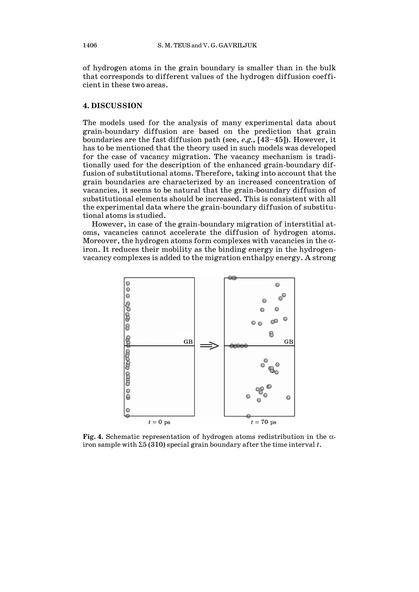of hydrogen atoms in the grain boundary is smaller than in the bulk that corresponds to different values of the hydrogen diffusion coefficient in these two areas.

# **4. DISCUSSION**

The models used for the analysis of many experimental data about grain-boundary diffusion are based on the prediction that grain boundaries are the fast diffusion path (see, *e.g.*, [43—45]). However, it has to be mentioned that the theory used in such models was developed for the case of vacancy migration. The vacancy mechanism is traditionally used for the description of the enhanced grain-boundary diffusion of substitutional atoms. Therefore, taking into account that the grain boundaries are characterized by an increased concentration of vacancies, it seems to be natural that the grain-boundary diffusion of substitutional elements should be increased. This is consistent with all the experimental data where the grain-boundary diffusion of substitutional atoms is studied.

 However, in case of the grain-boundary migration of interstitial atoms, vacancies cannot accelerate the diffusion of hydrogen atoms. Moreover, the hydrogen atoms form complexes with vacancies in the  $\alpha$ iron. It reduces their mobility as the binding energy in the hydrogenvacancy complexes is added to the migration enthalpy energy. A strong



**Fig. 4.** Schematic representation of hydrogen atoms redistribution in the  $\alpha$ iron sample with  $\Sigma 5$  (310) special grain boundary after the time interval t.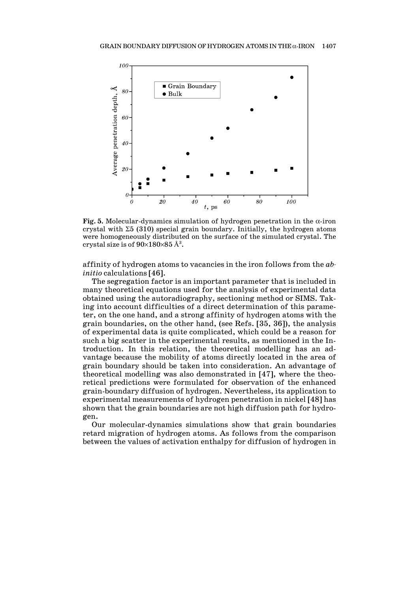

**Fig.** 5. Molecular-dynamics simulation of hydrogen penetration in the  $\alpha$ -iron crystal with  $\Sigma$ 5 (310) special grain boundary. Initially, the hydrogen atoms were homogeneously distributed on the surface of the simulated crystal. The crystal size is of  $90\times180\times85$  Å $^3$ .

affinity of hydrogen atoms to vacancies in the iron follows from the *abinitio* calculations [46].

 The segregation factor is an important parameter that is included in many theoretical equations used for the analysis of experimental data obtained using the autoradiography, sectioning method or SIMS. Taking into account difficulties of a direct determination of this parameter, on the one hand, and a strong affinity of hydrogen atoms with the grain boundaries, on the other hand, (see Refs. [35, 36]), the analysis of experimental data is quite complicated, which could be a reason for such a big scatter in the experimental results, as mentioned in the Introduction. In this relation, the theoretical modelling has an advantage because the mobility of atoms directly located in the area of grain boundary should be taken into consideration. An advantage of theoretical modelling was also demonstrated in [47], where the theoretical predictions were formulated for observation of the enhanced grain-boundary diffusion of hydrogen. Nevertheless, its application to experimental measurements of hydrogen penetration in nickel [48] has shown that the grain boundaries are not high diffusion path for hydrogen.

 Our molecular-dynamics simulations show that grain boundaries retard migration of hydrogen atoms. As follows from the comparison between the values of activation enthalpy for diffusion of hydrogen in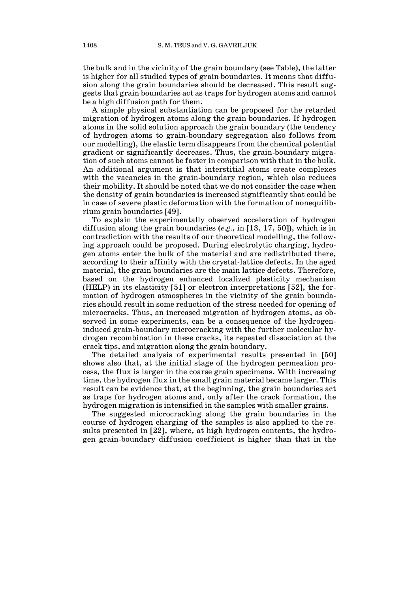the bulk and in the vicinity of the grain boundary (see Table), the latter is higher for all studied types of grain boundaries. It means that diffusion along the grain boundaries should be decreased. This result suggests that grain boundaries act as traps for hydrogen atoms and cannot be a high diffusion path for them.

 A simple physical substantiation can be proposed for the retarded migration of hydrogen atoms along the grain boundaries. If hydrogen atoms in the solid solution approach the grain boundary (the tendency of hydrogen atoms to grain-boundary segregation also follows from our modelling), the elastic term disappears from the chemical potential gradient or significantly decreases. Thus, the grain-boundary migration of such atoms cannot be faster in comparison with that in the bulk. An additional argument is that interstitial atoms create complexes with the vacancies in the grain-boundary region, which also reduces their mobility. It should be noted that we do not consider the case when the density of grain boundaries is increased significantly that could be in case of severe plastic deformation with the formation of nonequilibrium grain boundaries [49].

 To explain the experimentally observed acceleration of hydrogen diffusion along the grain boundaries (*e.g.*, in [13, 17, 50]), which is in contradiction with the results of our theoretical modelling, the following approach could be proposed. During electrolytic charging, hydrogen atoms enter the bulk of the material and are redistributed there, according to their affinity with the crystal-lattice defects. In the aged material, the grain boundaries are the main lattice defects. Therefore, based on the hydrogen enhanced localized plasticity mechanism (HELP) in its elasticity [51] or electron interpretations [52], the formation of hydrogen atmospheres in the vicinity of the grain boundaries should result in some reduction of the stress needed for opening of microcracks. Thus, an increased migration of hydrogen atoms, as observed in some experiments, can be a consequence of the hydrogeninduced grain-boundary microcracking with the further molecular hydrogen recombination in these cracks, its repeated dissociation at the crack tips, and migration along the grain boundary.

 The detailed analysis of experimental results presented in [50] shows also that, at the initial stage of the hydrogen permeation process, the flux is larger in the coarse grain specimens. With increasing time, the hydrogen flux in the small grain material became larger. This result can be evidence that, at the beginning, the grain boundaries act as traps for hydrogen atoms and, only after the crack formation, the hydrogen migration is intensified in the samples with smaller grains.

 The suggested microcracking along the grain boundaries in the course of hydrogen charging of the samples is also applied to the results presented in [22], where, at high hydrogen contents, the hydrogen grain-boundary diffusion coefficient is higher than that in the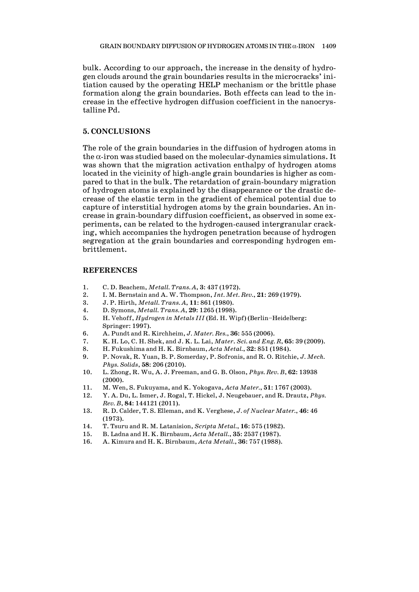bulk. According to our approach, the increase in the density of hydrogen clouds around the grain boundaries results in the microcracks' initiation caused by the operating HELP mechanism or the brittle phase formation along the grain boundaries. Both effects can lead to the increase in the effective hydrogen diffusion coefficient in the nanocrystalline Pd.

# **5. CONCLUSIONS**

The role of the grain boundaries in the diffusion of hydrogen atoms in the  $\alpha$ -iron was studied based on the molecular-dynamics simulations. It was shown that the migration activation enthalpy of hydrogen atoms located in the vicinity of high-angle grain boundaries is higher as compared to that in the bulk. The retardation of grain-boundary migration of hydrogen atoms is explained by the disappearance or the drastic decrease of the elastic term in the gradient of chemical potential due to capture of interstitial hydrogen atoms by the grain boundaries. An increase in grain-boundary diffusion coefficient, as observed in some experiments, can be related to the hydrogen-caused intergranular cracking, which accompanies the hydrogen penetration because of hydrogen segregation at the grain boundaries and corresponding hydrogen embrittlement.

#### **REFERENCES**

- 1. C. D. Beachem, *Metall. Trans. A*, **3**: 437 (1972).
- 2. I. M. Bernstain and A. W. Thompson, *Int. Met. Rev.*, **21**: 269 (1979).
- 3. J. P. Hirth, *Metall. Trans. A*, **11**: 861 (1980).
- 4. D. Symons, *Metall. Trans. A*, **29**: 1265 (1998).
- 5. H. Vehoff, *Hydrogen in Metals III* (Ed. H. Wipf) (Berlin—Heidelberg: Springer: 1997).
- 6. A. Pundt and R. Kirchheim, *J. Mater. Res.*, **36**: 555 (2006).
- 7. K. H. Lo, C. H. Shek, and J. K. L. Lai, *Mater*. *Sci. and Eng. R*, **65**: 39 (2009).
- 8. H. Fukushima and H. K. Birnbaum, *Acta Metal.*, **32**: 851 (1984).
- 9. P. Novak, R. Yuan, B. P. Somerday, P. Sofronis, and R. O. Ritchie, *J. Mech. Phys. Solids*, **58**: 206 (2010).
- 10. L. Zhong, R. Wu, A. J. Freeman, and G. B. Olson, *Phys. Rev. B*, **62**: 13938 (2000).
- 11. M. Wen, S. Fukuyama, and K. Yokogava, *Acta Mater.*, **51**: 1767 (2003).
- 12. Y. A. Du, L. Ismer, J. Rogal, T. Hickel, J. Neugebauer, and R. Drautz, *Phys. Rev. B*, **84**: 144121 (2011).
- 13. R. D. Calder, T. S. Elleman, and K. Verghese, *J. of Nuclear Mater.*, **46**: 46 (1973).
- 14. T. Tsuru and R. M. Latanision, *Scripta Metal.*, **16**: 575 (1982).
- 15. B. Ladna and H. K. Birnbaum, *Acta Metall.*, **35**: 2537 (1987).
- 16. A. Kimura and H. K. Birnbaum, *Acta Metall.*, **36**: 757 (1988).